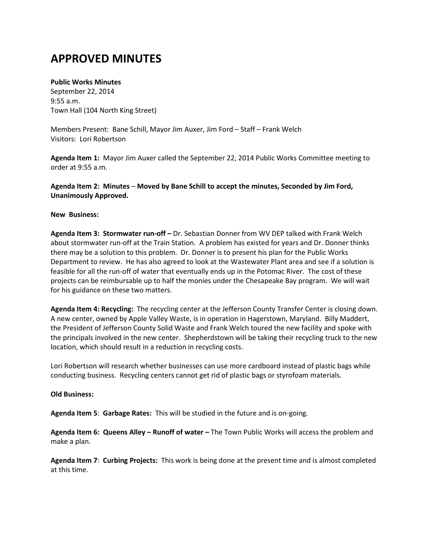## **APPROVED MINUTES**

## **Public Works Minutes**

September 22, 2014 9:55 a.m. Town Hall (104 North King Street)

Members Present: Bane Schill, Mayor Jim Auxer, Jim Ford – Staff – Frank Welch Visitors: Lori Robertson

**Agenda Item 1:** Mayor Jim Auxer called the September 22, 2014 Public Works Committee meeting to order at 9:55 a.m.

**Agenda Item 2: Minutes** – **Moved by Bane Schill to accept the minutes, Seconded by Jim Ford, Unanimously Approved.**

## **New Business:**

**Agenda Item 3: Stormwater run-off –** Dr. Sebastian Donner from WV DEP talked with Frank Welch about stormwater run-off at the Train Station. A problem has existed for years and Dr. Donner thinks there may be a solution to this problem. Dr. Donner is to present his plan for the Public Works Department to review. He has also agreed to look at the Wastewater Plant area and see if a solution is feasible for all the run-off of water that eventually ends up in the Potomac River. The cost of these projects can be reimbursable up to half the monies under the Chesapeake Bay program. We will wait for his guidance on these two matters.

**Agenda Item 4: Recycling:** The recycling center at the Jefferson County Transfer Center is closing down. A new center, owned by Apple Valley Waste, is in operation in Hagerstown, Maryland. Billy Maddert, the President of Jefferson County Solid Waste and Frank Welch toured the new facility and spoke with the principals involved in the new center. Shepherdstown will be taking their recycling truck to the new location, which should result in a reduction in recycling costs.

Lori Robertson will research whether businesses can use more cardboard instead of plastic bags while conducting business. Recycling centers cannot get rid of plastic bags or styrofoam materials.

## **Old Business:**

**Agenda Item 5**: **Garbage Rates:** This will be studied in the future and is on-going.

**Agenda Item 6: Queens Alley – Runoff of water –** The Town Public Works will access the problem and make a plan.

**Agenda Item 7**: **Curbing Projects:** This work is being done at the present time and is almost completed at this time.